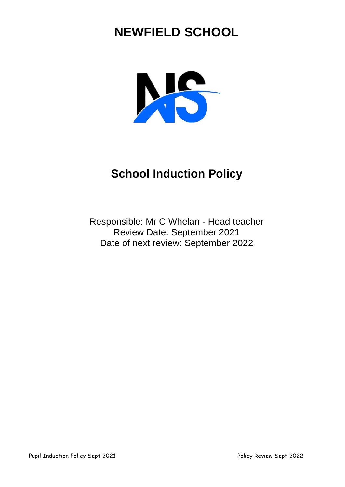# **NEWFIELD SCHOOL**



## **School Induction Policy**

Responsible: Mr C Whelan - Head teacher Review Date: September 2021 Date of next review: September 2022